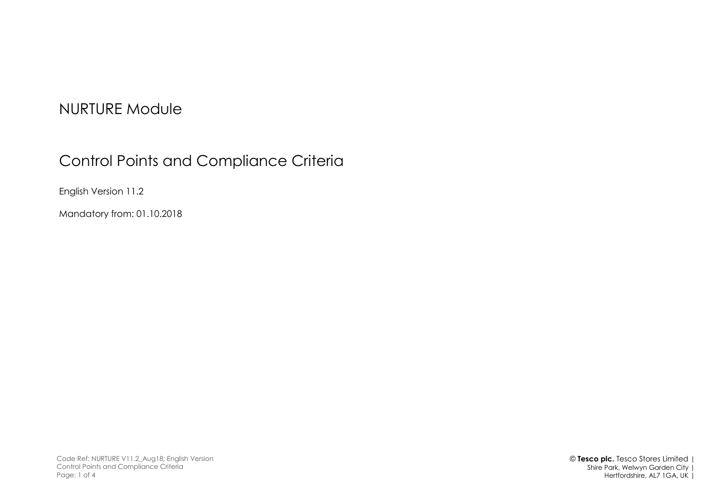## NURTURE Module

# Control Points and Compliance Criteria

English Version 11.2

Mandatory from: 01.10.2018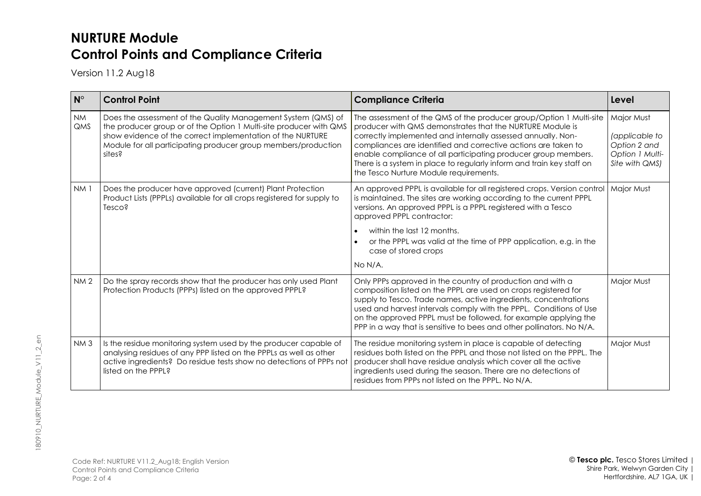### **NURTURE Module Control Points and Compliance Criteria**

Version 11.2 Aug18

| $N^{\circ}$             | <b>Control Point</b>                                                                                                                                                                                                                                                                                                                                                                                                                                                                                                                                                        | <b>Compliance Criteria</b>                                                                                                                                                                                                                                                                                                                                                                                                                              | Level                                                                             |
|-------------------------|-----------------------------------------------------------------------------------------------------------------------------------------------------------------------------------------------------------------------------------------------------------------------------------------------------------------------------------------------------------------------------------------------------------------------------------------------------------------------------------------------------------------------------------------------------------------------------|---------------------------------------------------------------------------------------------------------------------------------------------------------------------------------------------------------------------------------------------------------------------------------------------------------------------------------------------------------------------------------------------------------------------------------------------------------|-----------------------------------------------------------------------------------|
| <b>NM</b><br><b>QMS</b> | Does the assessment of the Quality Management System (QMS) of<br>the producer group or of the Option 1 Multi-site producer with QMS<br>show evidence of the correct implementation of the NURTURE<br>Module for all participating producer group members/production<br>sites?                                                                                                                                                                                                                                                                                               | The assessment of the QMS of the producer group/Option 1 Multi-site<br>producer with QMS demonstrates that the NURTURE Module is<br>correctly implemented and internally assessed annually. Non-<br>compliances are identified and corrective actions are taken to<br>enable compliance of all participating producer group members.<br>There is a system in place to regularly inform and train key staff on<br>the Tesco Nurture Module requirements. | Major Must<br>(applicable to<br>Option 2 and<br>Option 1 Multi-<br>Site with QMS) |
| NM <sub>1</sub>         | Does the producer have approved (current) Plant Protection<br>Product Lists (PPPLs) available for all crops registered for supply to<br>Tesco?                                                                                                                                                                                                                                                                                                                                                                                                                              | An approved PPPL is available for all registered crops. Version control<br>is maintained. The sites are working according to the current PPPL<br>versions. An approved PPPL is a PPPL registered with a Tesco<br>approved PPPL contractor:<br>within the last 12 months.<br>or the PPPL was valid at the time of PPP application, e.g. in the<br>case of stored crops<br>No N/A.                                                                        | Major Must                                                                        |
| NM <sub>2</sub>         | Do the spray records show that the producer has only used Plant<br>Protection Products (PPPs) listed on the approved PPPL?                                                                                                                                                                                                                                                                                                                                                                                                                                                  | Only PPPs approved in the country of production and with a<br>composition listed on the PPPL are used on crops registered for<br>supply to Tesco. Trade names, active ingredients, concentrations<br>used and harvest intervals comply with the PPPL. Conditions of Use<br>on the approved PPPL must be followed, for example applying the<br>PPP in a way that is sensitive to bees and other pollinators. No N/A.                                     |                                                                                   |
| NM <sub>3</sub>         | Is the residue monitoring system used by the producer capable of<br>The residue monitoring system in place is capable of detecting<br>analysing residues of any PPP listed on the PPPLs as well as other<br>residues both listed on the PPPL and those not listed on the PPPL. The<br>active ingredients? Do residue tests show no detections of PPPs not<br>producer shall have residue analysis which cover all the active<br>listed on the PPPL?<br>ingredients used during the season. There are no detections of<br>residues from PPPs not listed on the PPPL. No N/A. |                                                                                                                                                                                                                                                                                                                                                                                                                                                         | Major Must                                                                        |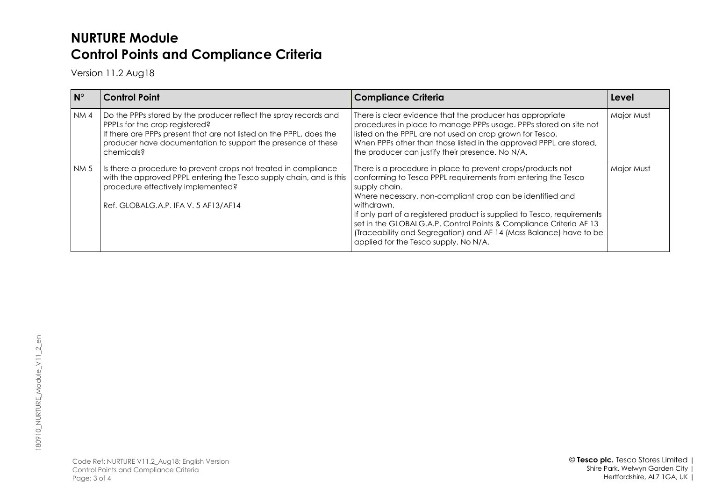### **NURTURE Module Control Points and Compliance Criteria**

Version 11.2 Aug18

| $N^{\circ}$ | <b>Control Point</b>                                                                                                                                                                                                                                    | <b>Compliance Criteria</b>                                                                                                                                                                                                                                                                                                                                                                                                                                                               | Level      |
|-------------|---------------------------------------------------------------------------------------------------------------------------------------------------------------------------------------------------------------------------------------------------------|------------------------------------------------------------------------------------------------------------------------------------------------------------------------------------------------------------------------------------------------------------------------------------------------------------------------------------------------------------------------------------------------------------------------------------------------------------------------------------------|------------|
| <b>NM4</b>  | Do the PPPs stored by the producer reflect the spray records and<br>PPPLs for the crop registered?<br>If there are PPPs present that are not listed on the PPPL, does the<br>producer have documentation to support the presence of these<br>chemicals? | There is clear evidence that the producer has appropriate<br>procedures in place to manage PPPs usage. PPPs stored on site not<br>listed on the PPPL are not used on crop grown for Tesco.<br>When PPPs other than those listed in the approved PPPL are stored,<br>the producer can justify their presence. No N/A.                                                                                                                                                                     | Major Must |
| <b>NM5</b>  | Is there a procedure to prevent crops not treated in compliance<br>with the approved PPPL entering the Tesco supply chain, and is this<br>procedure effectively implemented?<br>Ref. GLOBALG.A.P. IFA V. 5 AF13/AF14                                    | There is a procedure in place to prevent crops/products not<br>conforming to Tesco PPPL requirements from entering the Tesco<br>supply chain.<br>Where necessary, non-compliant crop can be identified and<br>withdrawn.<br>If only part of a registered product is supplied to Tesco, requirements<br>set in the GLOBALG.A.P. Control Points & Compliance Criteria AF 13<br>(Traceability and Segregation) and AF 14 (Mass Balance) have to be<br>applied for the Tesco supply. No N/A. | Major Must |